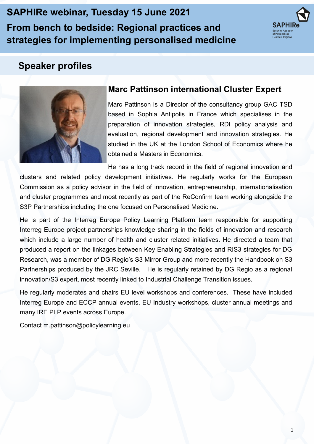**SAPHIRe webinar, Tuesday 15 June 2021 From bench to bedside: Regional practices and strategies for implementing personalised medicine** 



# **Speaker profiles**



# **Marc Pattinson international Cluster Expert**

Marc Pattinson is a Director of the consultancy group GAC TSD based in Sophia Antipolis in France which specialises in the preparation of innovation strategies, RDI policy analysis and evaluation, regional development and innovation strategies. He studied in the UK at the London School of Economics where he obtained a Masters in Economics.

He has a long track record in the field of regional innovation and clusters and related policy development initiatives. He regularly works for the European Commission as a policy advisor in the field of innovation, entrepreneurship, internationalisation and cluster programmes and most recently as part of the ReConfirm team working alongside the S3P Partnerships including the one focused on Personalised Medicine.

He is part of the Interreg Europe Policy Learning Platform team responsible for supporting Interreg Europe project partnerships knowledge sharing in the fields of innovation and research which include a large number of health and cluster related initiatives. He directed a team that produced a report on the linkages between Key Enabling Strategies and RIS3 strategies for DG Research, was a member of DG Regio's S3 Mirror Group and more recently the Handbook on S3 Partnerships produced by the JRC Seville. He is regularly retained by DG Regio as a regional innovation/S3 expert, most recently linked to Industrial Challenge Transition issues.

He regularly moderates and chairs EU level workshops and conferences. These have included Interreg Europe and ECCP annual events, EU Industry workshops, cluster annual meetings and many IRE PLP events across Europe.

Contact m.pattinson@policylearning.eu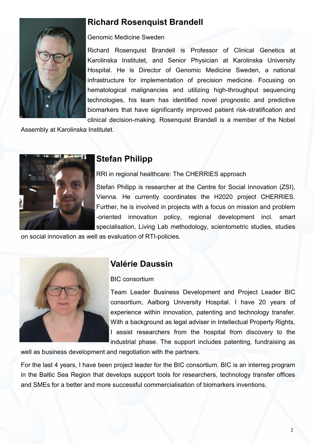# **Richard Rosenquist Brandell**



#### Genomic Medicine Sweden

Richard Rosenquist Brandell is Professor of Clinical Genetics at Karolinska Institutet, and Senior Physician at Karolinska University Hospital. He is Director of Genomic Medicine Sweden, a national infrastructure for implementation of precision medicine. Focusing on hematological malignancies and utilizing high-throughput sequencing technologies, his team has identified novel prognostic and predictive biomarkers that have significantly improved patient risk-stratification and clinical decision-making. Rosenquist Brandell is a member of the Nobel

Assembly at Karolinska Institutet.



### **Stefan Philipp**

RRI in regional healthcare: The CHERRIES approach

Stefan Philipp is researcher at the Centre for Social Innovation (ZSI), Vienna. He currently coordinates the H2020 project CHERRIES. Further, he is involved in projects with a focus on mission and problem -oriented innovation policy, regional development incl. smart specialisation, Living Lab methodology, scientometric studies, studies

on social innovation as well as evaluation of RTI-policies.



### **Valérie Daussin**

#### BIC consortium

Team Leader Business Development and Project Leader BIC consortium, Aalborg University Hospital. I have 20 years of experience within innovation, patenting and technology transfer. With a background as legal adviser in Intellectual Property Rights, I assist researchers from the hospital from discovery to the industrial phase. The support includes patenting, fundraising as

well as business development and negotiation with the partners.

For the last 4 years, I have been project leader for the BIC consortium. BIC is an interreg program in the Baltic Sea Region that develops support tools for researchers, technology transfer offices and SMEs for a better and more successful commercialisation of biomarkers inventions.